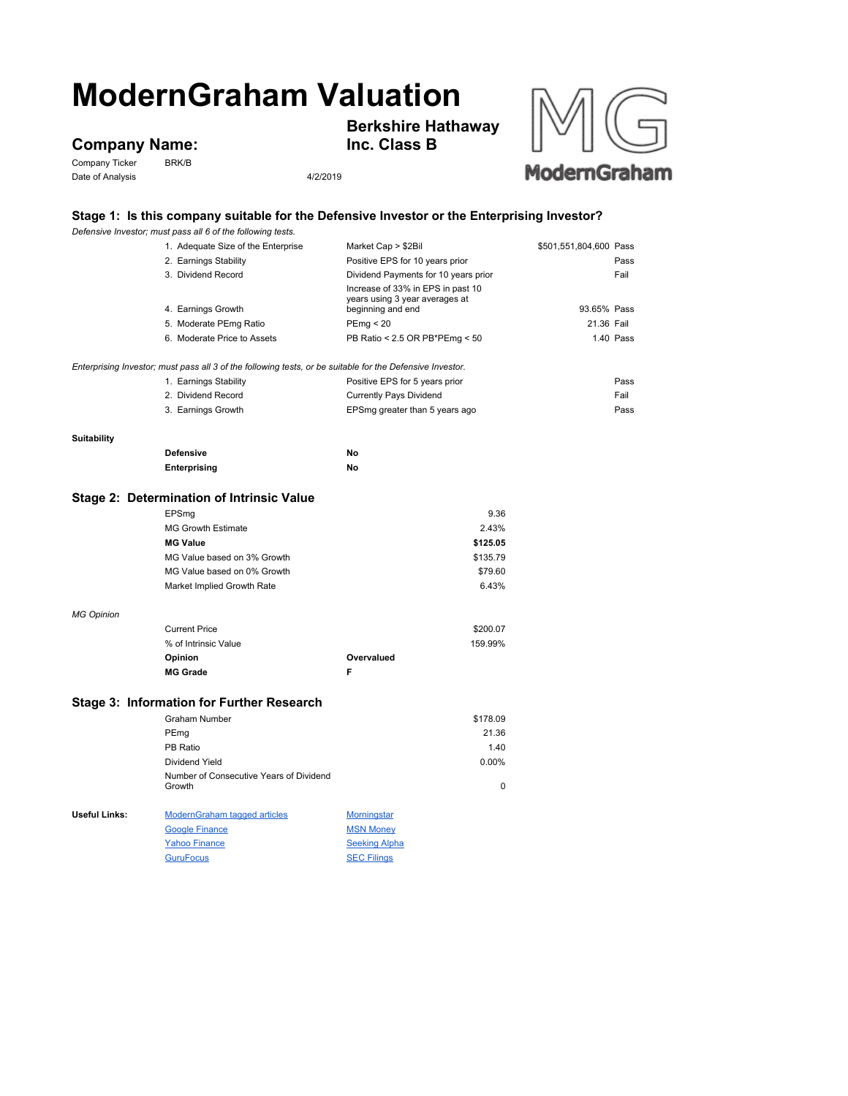# **ModernGraham Valuation**

## **Company Name:**<br>Company Ticker BRK/B

Company Ticker Date of Analysis 4/2/2019





### **Stage 1: Is this company suitable for the Defensive Investor or the Enterprising Investor?**

|                                                                                                           | Defensive Investor; must pass all 6 of the following tests. |                                                                                          |                        |           |  |  |
|-----------------------------------------------------------------------------------------------------------|-------------------------------------------------------------|------------------------------------------------------------------------------------------|------------------------|-----------|--|--|
|                                                                                                           | 1. Adequate Size of the Enterprise                          | Market Cap > \$2Bil                                                                      | \$501,551,804,600 Pass |           |  |  |
|                                                                                                           | 2. Earnings Stability                                       | Positive EPS for 10 years prior                                                          |                        | Pass      |  |  |
|                                                                                                           | 3. Dividend Record                                          | Dividend Payments for 10 years prior                                                     |                        | Fail      |  |  |
|                                                                                                           | 4. Earnings Growth                                          | Increase of 33% in EPS in past 10<br>years using 3 year averages at<br>beginning and end | 93.65% Pass            |           |  |  |
|                                                                                                           | 5. Moderate PEmg Ratio                                      | PEmp < 20                                                                                | 21.36 Fail             |           |  |  |
|                                                                                                           | 6. Moderate Price to Assets                                 | PB Ratio < 2.5 OR PB*PEmg < 50                                                           |                        | 1.40 Pass |  |  |
|                                                                                                           |                                                             |                                                                                          |                        |           |  |  |
| Enterprising Investor; must pass all 3 of the following tests, or be suitable for the Defensive Investor. |                                                             |                                                                                          |                        |           |  |  |
|                                                                                                           | 1. Earnings Stability                                       | Positive EPS for 5 years prior                                                           |                        | Pass      |  |  |
|                                                                                                           | 2. Dividend Record                                          | <b>Currently Pays Dividend</b>                                                           |                        | Fail      |  |  |
|                                                                                                           | 3. Earnings Growth                                          | EPSmg greater than 5 years ago                                                           |                        | Pass      |  |  |
|                                                                                                           |                                                             |                                                                                          |                        |           |  |  |
| <b>Suitability</b>                                                                                        | <b>Defensive</b>                                            | No                                                                                       |                        |           |  |  |
|                                                                                                           | Enterprising                                                | No                                                                                       |                        |           |  |  |
|                                                                                                           |                                                             |                                                                                          |                        |           |  |  |
|                                                                                                           | Stage 2: Determination of Intrinsic Value                   |                                                                                          |                        |           |  |  |
|                                                                                                           | EPSmg                                                       | 9.36                                                                                     |                        |           |  |  |
|                                                                                                           | <b>MG Growth Estimate</b>                                   | 2.43%                                                                                    |                        |           |  |  |
|                                                                                                           | <b>MG Value</b>                                             | \$125.05                                                                                 |                        |           |  |  |
|                                                                                                           | MG Value based on 3% Growth                                 | \$135.79                                                                                 |                        |           |  |  |
|                                                                                                           | MG Value based on 0% Growth                                 | \$79.60                                                                                  |                        |           |  |  |
|                                                                                                           | Market Implied Growth Rate                                  | 6.43%                                                                                    |                        |           |  |  |
|                                                                                                           |                                                             |                                                                                          |                        |           |  |  |
| <b>MG Opinion</b>                                                                                         |                                                             |                                                                                          |                        |           |  |  |
|                                                                                                           | <b>Current Price</b>                                        | \$200.07                                                                                 |                        |           |  |  |
|                                                                                                           | % of Intrinsic Value                                        | 159.99%                                                                                  |                        |           |  |  |
|                                                                                                           | Opinion                                                     | Overvalued                                                                               |                        |           |  |  |
|                                                                                                           | <b>MG Grade</b>                                             | F                                                                                        |                        |           |  |  |
| <b>Stage 3: Information for Further Research</b>                                                          |                                                             |                                                                                          |                        |           |  |  |
|                                                                                                           | <b>Graham Number</b>                                        | \$178.09                                                                                 |                        |           |  |  |
|                                                                                                           | PEmg                                                        | 21.36                                                                                    |                        |           |  |  |
|                                                                                                           | PB Ratio                                                    | 1.40                                                                                     |                        |           |  |  |
|                                                                                                           | Dividend Yield                                              | 0.00%                                                                                    |                        |           |  |  |
|                                                                                                           | Number of Consecutive Years of Dividend                     |                                                                                          |                        |           |  |  |
|                                                                                                           | Growth                                                      | $\mathbf 0$                                                                              |                        |           |  |  |
| <b>Useful Links:</b>                                                                                      | ModernGraham tagged articles                                | <b>Morningstar</b>                                                                       |                        |           |  |  |
|                                                                                                           | <b>Google Finance</b>                                       | <b>MSN Money</b>                                                                         |                        |           |  |  |
|                                                                                                           | <b>Yahoo Finance</b>                                        | <b>Seeking Alpha</b>                                                                     |                        |           |  |  |
|                                                                                                           |                                                             |                                                                                          |                        |           |  |  |

GuruFocus SEC Filings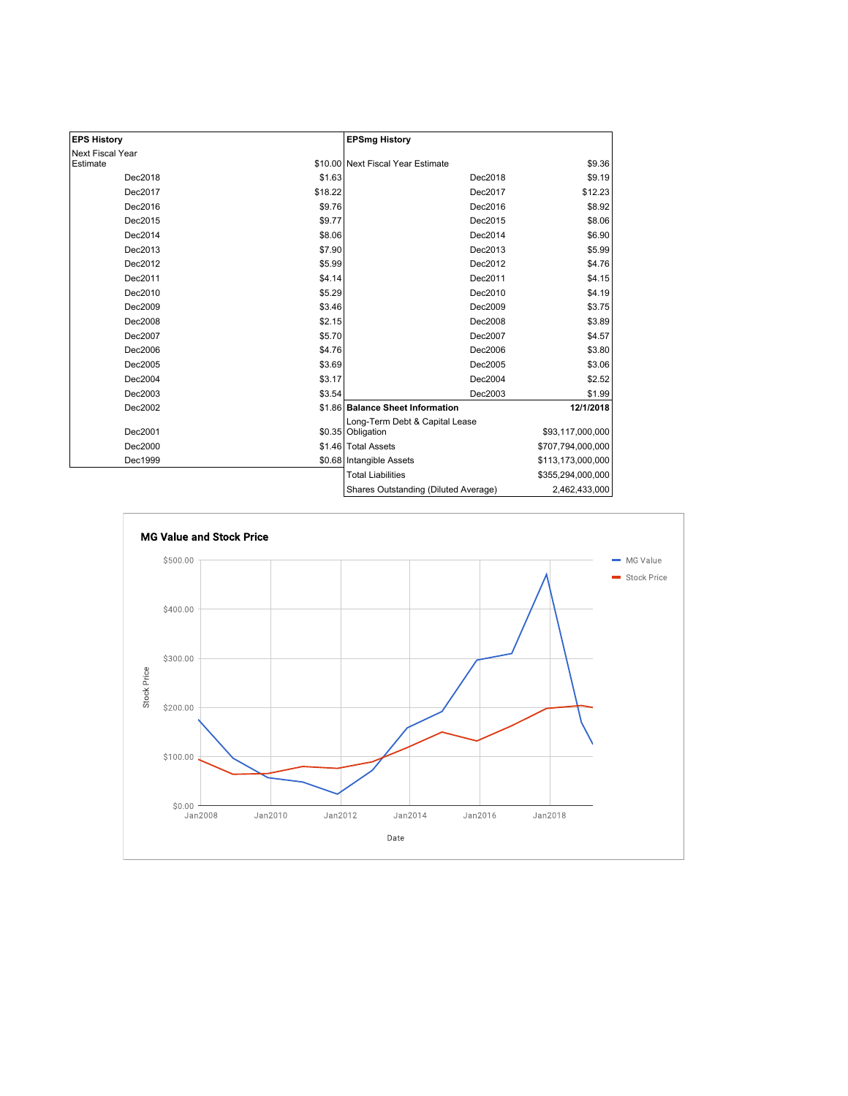| <b>EPS History</b> |         | <b>EPSmg History</b>                                |                   |  |
|--------------------|---------|-----------------------------------------------------|-------------------|--|
| Next Fiscal Year   |         |                                                     |                   |  |
| Estimate           |         | \$10.00 Next Fiscal Year Estimate                   | \$9.36            |  |
| Dec2018            | \$1.63  | Dec2018                                             | \$9.19            |  |
| Dec2017            | \$18.22 | Dec2017                                             | \$12.23           |  |
| Dec2016            | \$9.76  | Dec2016                                             | \$8.92            |  |
| Dec2015            | \$9.77  | Dec2015                                             | \$8.06            |  |
| Dec2014            | \$8.06  | Dec2014                                             | \$6.90            |  |
| Dec2013            | \$7.90  | Dec2013                                             | \$5.99            |  |
| Dec2012            | \$5.99  | Dec2012                                             | \$4.76            |  |
| Dec2011            | \$4.14  | Dec2011                                             | \$4.15            |  |
| Dec2010            | \$5.29  | Dec2010                                             | \$4.19            |  |
| Dec2009            | \$3.46  | Dec2009                                             | \$3.75            |  |
| Dec2008            | \$2.15  | Dec2008                                             | \$3.89            |  |
| Dec2007            | \$5.70  | Dec2007                                             | \$4.57            |  |
| Dec2006            | \$4.76  | Dec2006                                             | \$3.80            |  |
| Dec2005            | \$3.69  | Dec2005                                             | \$3.06            |  |
| Dec2004            | \$3.17  | Dec2004                                             | \$2.52            |  |
| Dec2003            | \$3.54  | Dec2003                                             | \$1.99            |  |
| Dec2002            |         | \$1.86 Balance Sheet Information                    | 12/1/2018         |  |
| Dec2001            |         | Long-Term Debt & Capital Lease<br>\$0.35 Obligation | \$93,117,000,000  |  |
| Dec2000            |         | \$1.46 Total Assets                                 | \$707,794,000,000 |  |
| Dec1999            |         | \$0.68   Intangible Assets                          | \$113,173,000,000 |  |
|                    |         | <b>Total Liabilities</b>                            | \$355,294,000,000 |  |
|                    |         | Shares Outstanding (Diluted Average)                | 2,462,433,000     |  |